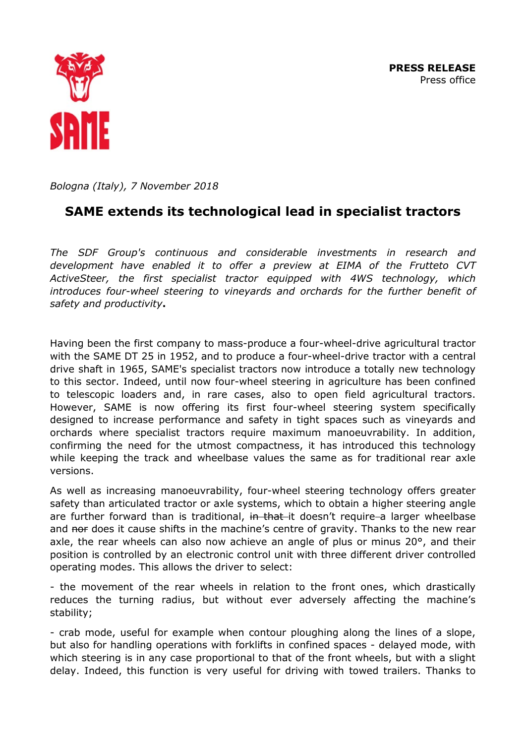**PRESS RELEASE**  Press office



*Bologna (Italy), 7 November 2018*

# **SAME extends its technological lead in specialist tractors**

*The SDF Group's continuous and considerable investments in research and development have enabled it to offer a preview at EIMA of the Frutteto CVT ActiveSteer, the first specialist tractor equipped with 4WS technology, which introduces four-wheel steering to vineyards and orchards for the further benefit of safety and productivity***.**

Having been the first company to mass-produce a four-wheel-drive agricultural tractor with the SAME DT 25 in 1952, and to produce a four-wheel-drive tractor with a central drive shaft in 1965, SAME's specialist tractors now introduce a totally new technology to this sector. Indeed, until now four-wheel steering in agriculture has been confined to telescopic loaders and, in rare cases, also to open field agricultural tractors. However, SAME is now offering its first four-wheel steering system specifically designed to increase performance and safety in tight spaces such as vineyards and orchards where specialist tractors require maximum manoeuvrability. In addition, confirming the need for the utmost compactness, it has introduced this technology while keeping the track and wheelbase values the same as for traditional rear axle versions.

As well as increasing manoeuvrability, four-wheel steering technology offers greater safety than articulated tractor or axle systems, which to obtain a higher steering angle are further forward than is traditional, in that-it doesn't require-a larger wheelbase and nor does it cause shifts in the machine's centre of gravity. Thanks to the new rear axle, the rear wheels can also now achieve an angle of plus or minus 20°, and their position is controlled by an electronic control unit with three different driver controlled operating modes. This allows the driver to select:

- the movement of the rear wheels in relation to the front ones, which drastically reduces the turning radius, but without ever adversely affecting the machine's stability;

- crab mode, useful for example when contour ploughing along the lines of a slope, but also for handling operations with forklifts in confined spaces - delayed mode, with which steering is in any case proportional to that of the front wheels, but with a slight delay. Indeed, this function is very useful for driving with towed trailers. Thanks to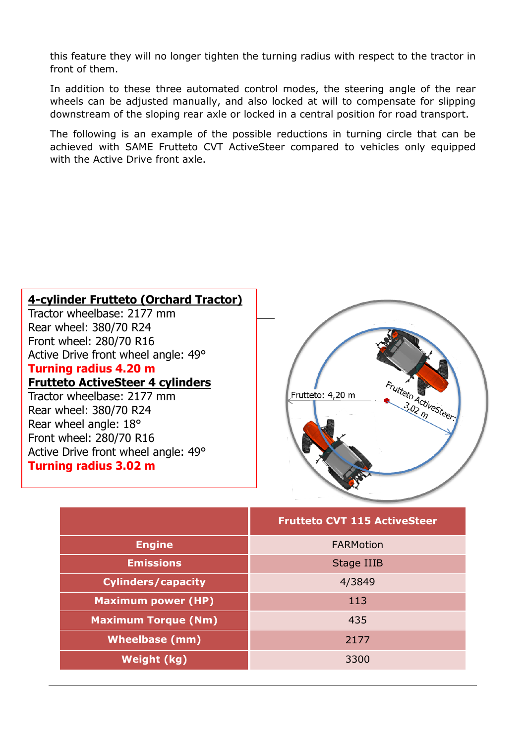this feature they will no longer tighten the turning radius with respect to the tractor in front of them.

In addition to these three automated control modes, the steering angle of the rear wheels can be adjusted manually, and also locked at will to compensate for slipping downstream of the sloping rear axle or locked in a central position for road transport.

The following is an example of the possible reductions in turning circle that can be achieved with SAME Frutteto CVT ActiveSteer compared to vehicles only equipped with the Active Drive front axle.

## **4-cylinder Frutteto (Orchard Tractor)**

Tractor wheelbase: 2177 mm Rear wheel: 380/70 R24 Front wheel: 280/70 R16 Active Drive front wheel angle: 49°

### **Turning radius 4.20 m**

### **Frutteto ActiveSteer 4 cylinders**

Tractor wheelbase: 2177 mm Rear wheel: 380/70 R24 Rear wheel angle: 18° Front wheel: 280/70 R16 Active Drive front wheel angle: 49° **Turning radius 3.02 m**



|                            | <b>Frutteto CVT 115 ActiveSteer</b> |
|----------------------------|-------------------------------------|
| <b>Engine</b>              | <b>FARMotion</b>                    |
| <b>Emissions</b>           | Stage IIIB                          |
| <b>Cylinders/capacity</b>  | 4/3849                              |
| <b>Maximum power (HP)</b>  | 113                                 |
| <b>Maximum Torque (Nm)</b> | 435                                 |
| <b>Wheelbase (mm)</b>      | 2177                                |
| Weight (kg)                | 3300                                |